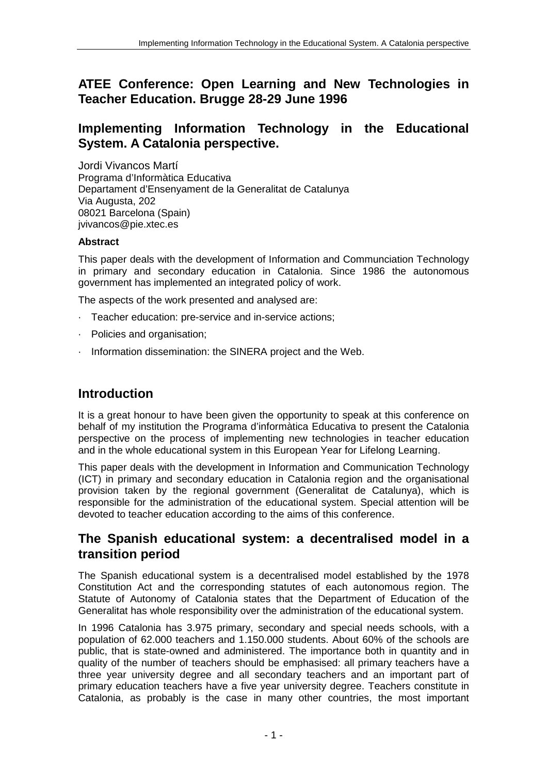# **ATEE Conference: Open Learning and New Technologies in Teacher Education. Brugge 28-29 June 1996**

## **Implementing Information Technology in the Educational System. A Catalonia perspective.**

Jordi Vivancos Martí Programa d'Informàtica Educativa Departament d'Ensenyament de la Generalitat de Catalunya Via Augusta, 202 08021 Barcelona (Spain) jvivancos@pie.xtec.es

#### **Abstract**

This paper deals with the development of Information and Communciation Technology in primary and secondary education in Catalonia. Since 1986 the autonomous government has implemented an integrated policy of work.

The aspects of the work presented and analysed are:

- · Teacher education: pre-service and in-service actions;
- · Policies and organisation;
- · Information dissemination: the SINERA project and the Web.

# **Introduction**

It is a great honour to have been given the opportunity to speak at this conference on behalf of my institution the Programa d'informàtica Educativa to present the Catalonia perspective on the process of implementing new technologies in teacher education and in the whole educational system in this European Year for Lifelong Learning.

This paper deals with the development in Information and Communication Technology (ICT) in primary and secondary education in Catalonia region and the organisational provision taken by the regional government (Generalitat de Catalunya), which is responsible for the administration of the educational system. Special attention will be devoted to teacher education according to the aims of this conference.

## **The Spanish educational system: a decentralised model in a transition period**

The Spanish educational system is a decentralised model established by the 1978 Constitution Act and the corresponding statutes of each autonomous region. The Statute of Autonomy of Catalonia states that the Department of Education of the Generalitat has whole responsibility over the administration of the educational system.

In 1996 Catalonia has 3.975 primary, secondary and special needs schools, with a population of 62.000 teachers and 1.150.000 students. About 60% of the schools are public, that is state-owned and administered. The importance both in quantity and in quality of the number of teachers should be emphasised: all primary teachers have a three year university degree and all secondary teachers and an important part of primary education teachers have a five year university degree. Teachers constitute in Catalonia, as probably is the case in many other countries, the most important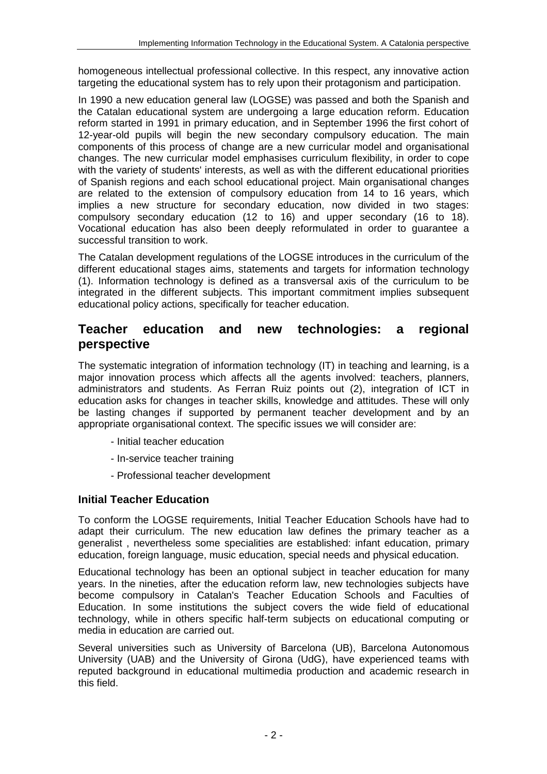homogeneous intellectual professional collective. In this respect, any innovative action targeting the educational system has to rely upon their protagonism and participation.

In 1990 a new education general law (LOGSE) was passed and both the Spanish and the Catalan educational system are undergoing a large education reform. Education reform started in 1991 in primary education, and in September 1996 the first cohort of 12-year-old pupils will begin the new secondary compulsory education. The main components of this process of change are a new curricular model and organisational changes. The new curricular model emphasises curriculum flexibility, in order to cope with the variety of students' interests, as well as with the different educational priorities of Spanish regions and each school educational project. Main organisational changes are related to the extension of compulsory education from 14 to 16 years, which implies a new structure for secondary education, now divided in two stages: compulsory secondary education (12 to 16) and upper secondary (16 to 18). Vocational education has also been deeply reformulated in order to guarantee a successful transition to work.

The Catalan development regulations of the LOGSE introduces in the curriculum of the different educational stages aims, statements and targets for information technology (1). Information technology is defined as a transversal axis of the curriculum to be integrated in the different subjects. This important commitment implies subsequent educational policy actions, specifically for teacher education.

## **Teacher education and new technologies: a regional perspective**

The systematic integration of information technology (IT) in teaching and learning, is a major innovation process which affects all the agents involved: teachers, planners, administrators and students. As Ferran Ruiz points out (2), integration of ICT in education asks for changes in teacher skills, knowledge and attitudes. These will only be lasting changes if supported by permanent teacher development and by an appropriate organisational context. The specific issues we will consider are:

- Initial teacher education
- In-service teacher training
- Professional teacher development

## **Initial Teacher Education**

To conform the LOGSE requirements, Initial Teacher Education Schools have had to adapt their curriculum. The new education law defines the primary teacher as a generalist , nevertheless some specialities are established: infant education, primary education, foreign language, music education, special needs and physical education.

Educational technology has been an optional subject in teacher education for many years. In the nineties, after the education reform law, new technologies subjects have become compulsory in Catalan's Teacher Education Schools and Faculties of Education. In some institutions the subject covers the wide field of educational technology, while in others specific half-term subjects on educational computing or media in education are carried out.

Several universities such as University of Barcelona (UB), Barcelona Autonomous University (UAB) and the University of Girona (UdG), have experienced teams with reputed background in educational multimedia production and academic research in this field.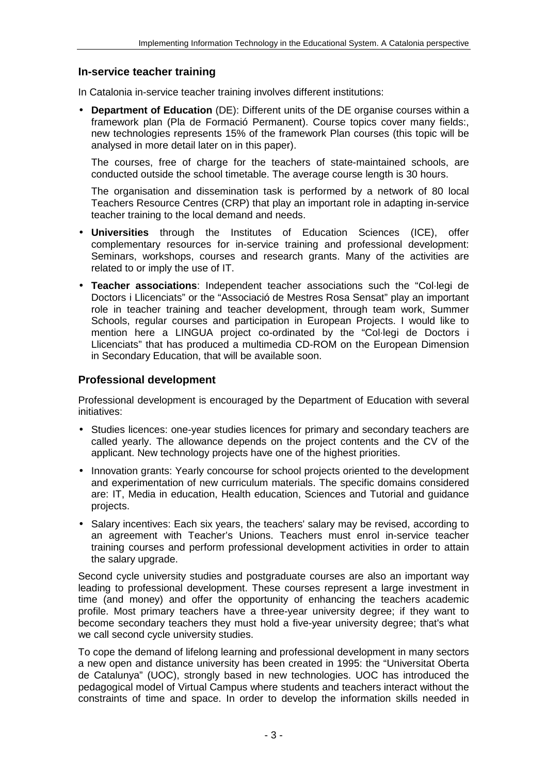### **In-service teacher training**

In Catalonia in-service teacher training involves different institutions:

• **Department of Education** (DE): Different units of the DE organise courses within a framework plan (Pla de Formació Permanent). Course topics cover many fields:, new technologies represents 15% of the framework Plan courses (this topic will be analysed in more detail later on in this paper).

The courses, free of charge for the teachers of state-maintained schools, are conducted outside the school timetable. The average course length is 30 hours.

The organisation and dissemination task is performed by a network of 80 local Teachers Resource Centres (CRP) that play an important role in adapting in-service teacher training to the local demand and needs.

- **Universities** through the Institutes of Education Sciences (ICE), offer complementary resources for in-service training and professional development: Seminars, workshops, courses and research grants. Many of the activities are related to or imply the use of IT.
- **Teacher associations**: Independent teacher associations such the "Col·legi de Doctors i Llicenciats" or the "Associació de Mestres Rosa Sensat" play an important role in teacher training and teacher development, through team work, Summer Schools, regular courses and participation in European Projects. I would like to mention here a LINGUA project co-ordinated by the "Col·legi de Doctors i Llicenciats" that has produced a multimedia CD-ROM on the European Dimension in Secondary Education, that will be available soon.

### **Professional development**

Professional development is encouraged by the Department of Education with several initiatives:

- Studies licences: one-year studies licences for primary and secondary teachers are called yearly. The allowance depends on the project contents and the CV of the applicant. New technology projects have one of the highest priorities.
- Innovation grants: Yearly concourse for school projects oriented to the development and experimentation of new curriculum materials. The specific domains considered are: IT, Media in education, Health education, Sciences and Tutorial and guidance projects.
- Salary incentives: Each six years, the teachers' salary may be revised, according to an agreement with Teacher's Unions. Teachers must enrol in-service teacher training courses and perform professional development activities in order to attain the salary upgrade.

Second cycle university studies and postgraduate courses are also an important way leading to professional development. These courses represent a large investment in time (and money) and offer the opportunity of enhancing the teachers academic profile. Most primary teachers have a three-year university degree; if they want to become secondary teachers they must hold a five-year university degree; that's what we call second cycle university studies.

To cope the demand of lifelong learning and professional development in many sectors a new open and distance university has been created in 1995: the "Universitat Oberta de Catalunya" (UOC), strongly based in new technologies. UOC has introduced the pedagogical model of Virtual Campus where students and teachers interact without the constraints of time and space. In order to develop the information skills needed in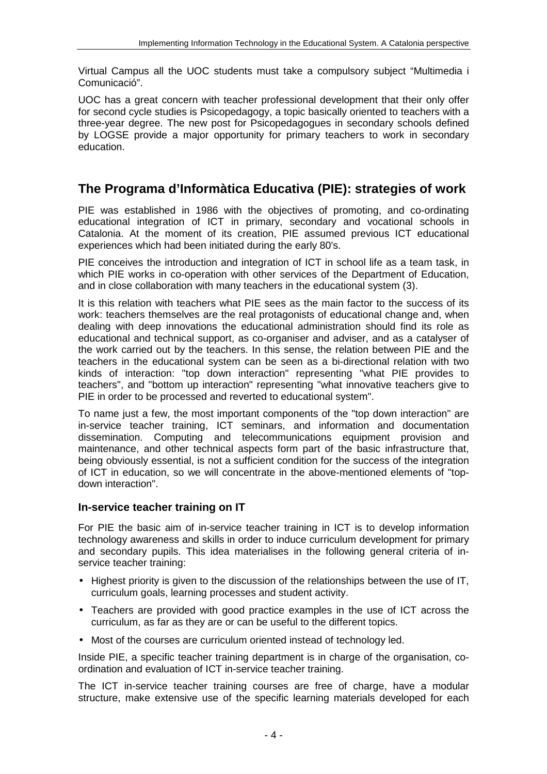Virtual Campus all the UOC students must take a compulsory subject "Multimedia i Comunicació".

UOC has a great concern with teacher professional development that their only offer for second cycle studies is Psicopedagogy, a topic basically oriented to teachers with a three-year degree. The new post for Psicopedagogues in secondary schools defined by LOGSE provide a major opportunity for primary teachers to work in secondary education.

# **The Programa d'Informàtica Educativa (PIE): strategies of work**

PIE was established in 1986 with the objectives of promoting, and co-ordinating educational integration of ICT in primary, secondary and vocational schools in Catalonia. At the moment of its creation, PIE assumed previous ICT educational experiences which had been initiated during the early 80's.

PIE conceives the introduction and integration of ICT in school life as a team task, in which PIE works in co-operation with other services of the Department of Education, and in close collaboration with many teachers in the educational system (3).

It is this relation with teachers what PIE sees as the main factor to the success of its work: teachers themselves are the real protagonists of educational change and, when dealing with deep innovations the educational administration should find its role as educational and technical support, as co-organiser and adviser, and as a catalyser of the work carried out by the teachers. In this sense, the relation between PIE and the teachers in the educational system can be seen as a bi-directional relation with two kinds of interaction: "top down interaction" representing "what PIE provides to teachers", and "bottom up interaction" representing "what innovative teachers give to PIE in order to be processed and reverted to educational system".

To name just a few, the most important components of the "top down interaction" are in-service teacher training, ICT seminars, and information and documentation dissemination. Computing and telecommunications equipment provision and maintenance, and other technical aspects form part of the basic infrastructure that, being obviously essential, is not a sufficient condition for the success of the integration of ICT in education, so we will concentrate in the above-mentioned elements of "topdown interaction".

## **In-service teacher training on IT**

For PIE the basic aim of in-service teacher training in ICT is to develop information technology awareness and skills in order to induce curriculum development for primary and secondary pupils. This idea materialises in the following general criteria of inservice teacher training:

- Highest priority is given to the discussion of the relationships between the use of IT, curriculum goals, learning processes and student activity.
- Teachers are provided with good practice examples in the use of ICT across the curriculum, as far as they are or can be useful to the different topics.
- Most of the courses are curriculum oriented instead of technology led.

Inside PIE, a specific teacher training department is in charge of the organisation, coordination and evaluation of ICT in-service teacher training.

The ICT in-service teacher training courses are free of charge, have a modular structure, make extensive use of the specific learning materials developed for each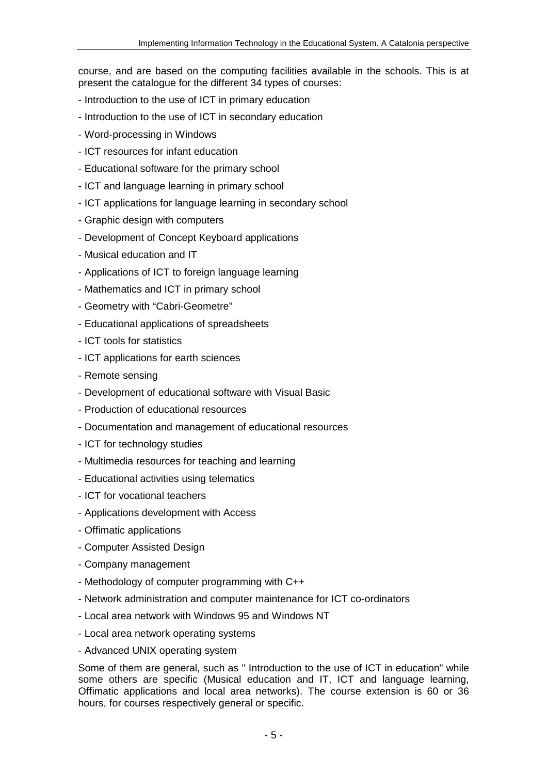course, and are based on the computing facilities available in the schools. This is at present the catalogue for the different 34 types of courses:

- Introduction to the use of ICT in primary education
- Introduction to the use of ICT in secondary education
- Word-processing in Windows
- ICT resources for infant education
- Educational software for the primary school
- ICT and language learning in primary school
- ICT applications for language learning in secondary school
- Graphic design with computers
- Development of Concept Keyboard applications
- Musical education and IT
- Applications of ICT to foreign language learning
- Mathematics and ICT in primary school
- Geometry with "Cabri-Geometre"
- Educational applications of spreadsheets
- ICT tools for statistics
- ICT applications for earth sciences
- Remote sensing
- Development of educational software with Visual Basic
- Production of educational resources
- Documentation and management of educational resources
- ICT for technology studies
- Multimedia resources for teaching and learning
- Educational activities using telematics
- ICT for vocational teachers
- Applications development with Access
- Offimatic applications
- Computer Assisted Design
- Company management
- Methodology of computer programming with C++
- Network administration and computer maintenance for ICT co-ordinators
- Local area network with Windows 95 and Windows NT
- Local area network operating systems
- Advanced UNIX operating system

Some of them are general, such as " Introduction to the use of ICT in education" while some others are specific (Musical education and IT, ICT and language learning, Offimatic applications and local area networks). The course extension is 60 or 36 hours, for courses respectively general or specific.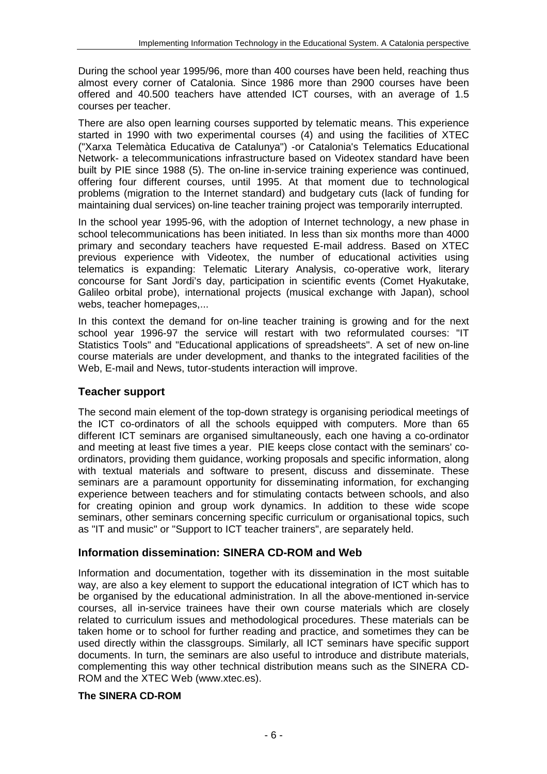During the school year 1995/96, more than 400 courses have been held, reaching thus almost every corner of Catalonia. Since 1986 more than 2900 courses have been offered and 40.500 teachers have attended ICT courses, with an average of 1.5 courses per teacher.

There are also open learning courses supported by telematic means. This experience started in 1990 with two experimental courses (4) and using the facilities of XTEC ("Xarxa Telemàtica Educativa de Catalunya") -or Catalonia's Telematics Educational Network- a telecommunications infrastructure based on Videotex standard have been built by PIE since 1988 (5). The on-line in-service training experience was continued, offering four different courses, until 1995. At that moment due to technological problems (migration to the Internet standard) and budgetary cuts (lack of funding for maintaining dual services) on-line teacher training project was temporarily interrupted.

In the school year 1995-96, with the adoption of Internet technology, a new phase in school telecommunications has been initiated. In less than six months more than 4000 primary and secondary teachers have requested E-mail address. Based on XTEC previous experience with Videotex, the number of educational activities using telematics is expanding: Telematic Literary Analysis, co-operative work, literary concourse for Sant Jordi's day, participation in scientific events (Comet Hyakutake, Galileo orbital probe), international projects (musical exchange with Japan), school webs, teacher homepages,...

In this context the demand for on-line teacher training is growing and for the next school year 1996-97 the service will restart with two reformulated courses: "IT Statistics Tools" and "Educational applications of spreadsheets". A set of new on-line course materials are under development, and thanks to the integrated facilities of the Web, E-mail and News, tutor-students interaction will improve.

### **Teacher support**

The second main element of the top-down strategy is organising periodical meetings of the ICT co-ordinators of all the schools equipped with computers. More than 65 different ICT seminars are organised simultaneously, each one having a co-ordinator and meeting at least five times a year. PIE keeps close contact with the seminars' coordinators, providing them guidance, working proposals and specific information, along with textual materials and software to present, discuss and disseminate. These seminars are a paramount opportunity for disseminating information, for exchanging experience between teachers and for stimulating contacts between schools, and also for creating opinion and group work dynamics. In addition to these wide scope seminars, other seminars concerning specific curriculum or organisational topics, such as "IT and music" or "Support to ICT teacher trainers", are separately held.

### **Information dissemination: SINERA CD-ROM and Web**

Information and documentation, together with its dissemination in the most suitable way, are also a key element to support the educational integration of ICT which has to be organised by the educational administration. In all the above-mentioned in-service courses, all in-service trainees have their own course materials which are closely related to curriculum issues and methodological procedures. These materials can be taken home or to school for further reading and practice, and sometimes they can be used directly within the classgroups. Similarly, all ICT seminars have specific support documents. In turn, the seminars are also useful to introduce and distribute materials, complementing this way other technical distribution means such as the SINERA CD-ROM and the XTEC Web (www.xtec.es).

#### **The SINERA CD-ROM**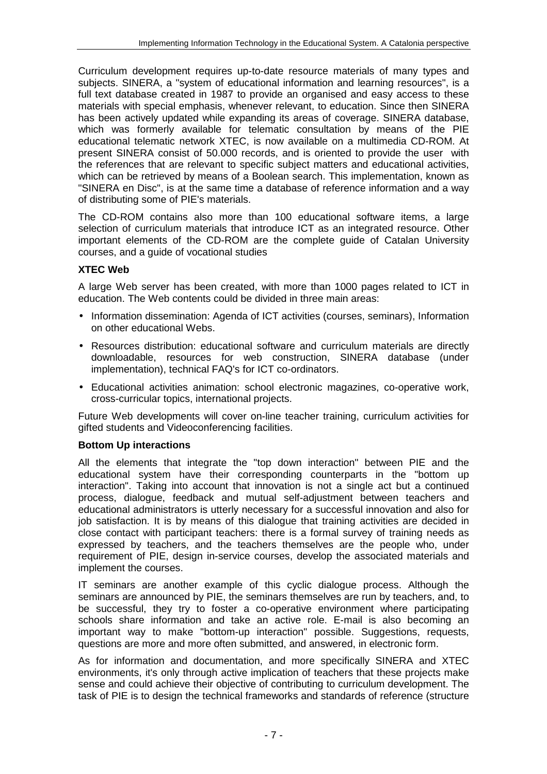Curriculum development requires up-to-date resource materials of many types and subjects. SINERA, a "system of educational information and learning resources", is a full text database created in 1987 to provide an organised and easy access to these materials with special emphasis, whenever relevant, to education. Since then SINERA has been actively updated while expanding its areas of coverage. SINERA database, which was formerly available for telematic consultation by means of the PIE educational telematic network XTEC, is now available on a multimedia CD-ROM. At present SINERA consist of 50.000 records, and is oriented to provide the user with the references that are relevant to specific subject matters and educational activities, which can be retrieved by means of a Boolean search. This implementation, known as "SINERA en Disc", is at the same time a database of reference information and a way of distributing some of PIE's materials.

The CD-ROM contains also more than 100 educational software items, a large selection of curriculum materials that introduce ICT as an integrated resource. Other important elements of the CD-ROM are the complete guide of Catalan University courses, and a guide of vocational studies

### **XTEC Web**

A large Web server has been created, with more than 1000 pages related to ICT in education. The Web contents could be divided in three main areas:

- Information dissemination: Agenda of ICT activities (courses, seminars), Information on other educational Webs.
- Resources distribution: educational software and curriculum materials are directly downloadable, resources for web construction, SINERA database (under implementation), technical FAQ's for ICT co-ordinators.
- Educational activities animation: school electronic magazines, co-operative work, cross-curricular topics, international projects.

Future Web developments will cover on-line teacher training, curriculum activities for gifted students and Videoconferencing facilities.

### **Bottom Up interactions**

All the elements that integrate the "top down interaction" between PIE and the educational system have their corresponding counterparts in the "bottom up interaction". Taking into account that innovation is not a single act but a continued process, dialogue, feedback and mutual self-adjustment between teachers and educational administrators is utterly necessary for a successful innovation and also for job satisfaction. It is by means of this dialogue that training activities are decided in close contact with participant teachers: there is a formal survey of training needs as expressed by teachers, and the teachers themselves are the people who, under requirement of PIE, design in-service courses, develop the associated materials and implement the courses.

IT seminars are another example of this cyclic dialogue process. Although the seminars are announced by PIE, the seminars themselves are run by teachers, and, to be successful, they try to foster a co-operative environment where participating schools share information and take an active role. E-mail is also becoming an important way to make "bottom-up interaction" possible. Suggestions, requests, questions are more and more often submitted, and answered, in electronic form.

As for information and documentation, and more specifically SINERA and XTEC environments, it's only through active implication of teachers that these projects make sense and could achieve their objective of contributing to curriculum development. The task of PIE is to design the technical frameworks and standards of reference (structure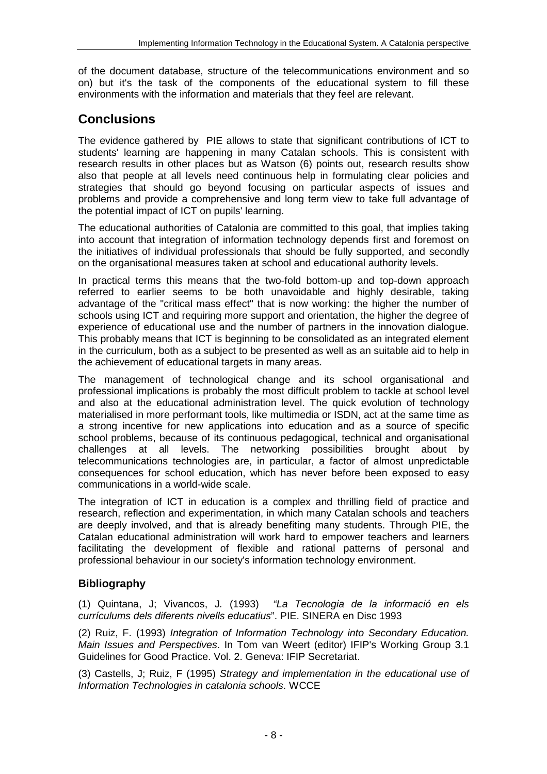of the document database, structure of the telecommunications environment and so on) but it's the task of the components of the educational system to fill these environments with the information and materials that they feel are relevant.

# **Conclusions**

The evidence gathered by PIE allows to state that significant contributions of ICT to students' learning are happening in many Catalan schools. This is consistent with research results in other places but as Watson (6) points out, research results show also that people at all levels need continuous help in formulating clear policies and strategies that should go beyond focusing on particular aspects of issues and problems and provide a comprehensive and long term view to take full advantage of the potential impact of ICT on pupils' learning.

The educational authorities of Catalonia are committed to this goal, that implies taking into account that integration of information technology depends first and foremost on the initiatives of individual professionals that should be fully supported, and secondly on the organisational measures taken at school and educational authority levels.

In practical terms this means that the two-fold bottom-up and top-down approach referred to earlier seems to be both unavoidable and highly desirable, taking advantage of the "critical mass effect" that is now working: the higher the number of schools using ICT and requiring more support and orientation, the higher the degree of experience of educational use and the number of partners in the innovation dialogue. This probably means that ICT is beginning to be consolidated as an integrated element in the curriculum, both as a subject to be presented as well as an suitable aid to help in the achievement of educational targets in many areas.

The management of technological change and its school organisational and professional implications is probably the most difficult problem to tackle at school level and also at the educational administration level. The quick evolution of technology materialised in more performant tools, like multimedia or ISDN, act at the same time as a strong incentive for new applications into education and as a source of specific school problems, because of its continuous pedagogical, technical and organisational challenges at all levels. The networking possibilities brought about by telecommunications technologies are, in particular, a factor of almost unpredictable consequences for school education, which has never before been exposed to easy communications in a world-wide scale.

The integration of ICT in education is a complex and thrilling field of practice and research, reflection and experimentation, in which many Catalan schools and teachers are deeply involved, and that is already benefiting many students. Through PIE, the Catalan educational administration will work hard to empower teachers and learners facilitating the development of flexible and rational patterns of personal and professional behaviour in our society's information technology environment.

## **Bibliography**

(1) Quintana, J; Vivancos, J. (1993) "La Tecnologia de la informació en els currículums dels diferents nivells educatius". PIE. SINERA en Disc 1993

(2) Ruiz, F. (1993) Integration of Information Technology into Secondary Education. Main Issues and Perspectives. In Tom van Weert (editor) IFIP's Working Group 3.1 Guidelines for Good Practice. Vol. 2. Geneva: IFIP Secretariat.

(3) Castells, J; Ruiz, F (1995) Strategy and implementation in the educational use of Information Technologies in catalonia schools. WCCE